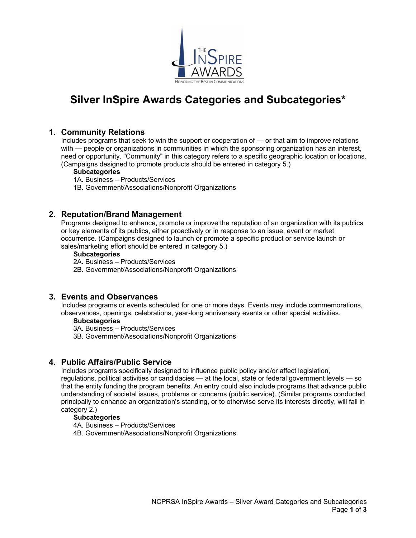

# **Silver InSpire Awards Categories and Subcategories\***

# **1. Community Relations**

Includes programs that seek to win the support or cooperation of — or that aim to improve relations with — people or organizations in communities in which the sponsoring organization has an interest, need or opportunity. "Community" in this category refers to a specific geographic location or locations. (Campaigns designed to promote products should be entered in category 5.)

## **Subcategories**

1A. Business – Products/Services

1B. Government/Associations/Nonprofit Organizations

## **2. Reputation/Brand Management**

Programs designed to enhance, promote or improve the reputation of an organization with its publics or key elements of its publics, either proactively or in response to an issue, event or market occurrence. (Campaigns designed to launch or promote a specific product or service launch or sales/marketing effort should be entered in category 5.)

## **Subcategories**

2A. Business – Products/Services

2B. Government/Associations/Nonprofit Organizations

# **3. Events and Observances**

Includes programs or events scheduled for one or more days. Events may include commemorations, observances, openings, celebrations, year-long anniversary events or other special activities.

## **Subcategories**

3A. Business – Products/Services

3B. Government/Associations/Nonprofit Organizations

# **4. Public Affairs/Public Service**

Includes programs specifically designed to influence public policy and/or affect legislation,

regulations, political activities or candidacies — at the local, state or federal government levels — so that the entity funding the program benefits. An entry could also include programs that advance public understanding of societal issues, problems or concerns (public service). (Similar programs conducted principally to enhance an organization's standing, or to otherwise serve its interests directly, will fall in category 2.)

## **Subcategories**

4A. Business – Products/Services

4B. Government/Associations/Nonprofit Organizations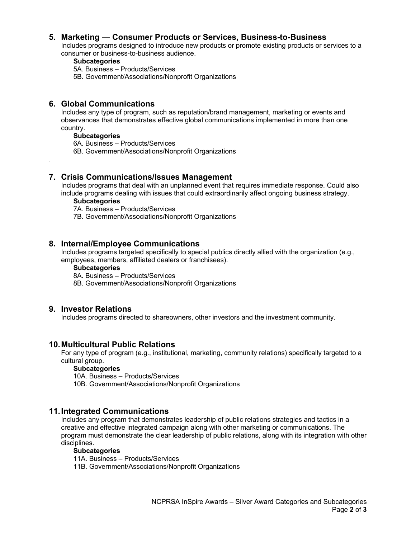# **5. Marketing** — **Consumer Products or Services, Business-to-Business**

Includes programs designed to introduce new products or promote existing products or services to a consumer or business-to-business audience.

#### **Subcategories**

- 5A. Business Products/Services
- 5B. Government/Associations/Nonprofit Organizations

# **6. Global Communications**

Includes any type of program, such as reputation/brand management, marketing or events and observances that demonstrates effective global communications implemented in more than one country.

## **Subcategories**

.

- 6A. Business Products/Services
- 6B. Government/Associations/Nonprofit Organizations
- **7. Crisis Communications/Issues Management**

Includes programs that deal with an unplanned event that requires immediate response. Could also include programs dealing with issues that could extraordinarily affect ongoing business strategy.

## **Subcategories**

- 7A. Business Products/Services
- 7B. Government/Associations/Nonprofit Organizations

## **8. Internal/Employee Communications**

Includes programs targeted specifically to special publics directly allied with the organization (e.g., employees, members, affiliated dealers or franchisees).

#### **Subcategories**

- 8A. Business Products/Services
- 8B. Government/Associations/Nonprofit Organizations

## **9. Investor Relations**

Includes programs directed to shareowners, other investors and the investment community.

## **10.Multicultural Public Relations**

For any type of program (e.g., institutional, marketing, community relations) specifically targeted to a cultural group.

## **Subcategories**

10A. Business – Products/Services

10B. Government/Associations/Nonprofit Organizations

## **11.Integrated Communications**

Includes any program that demonstrates leadership of public relations strategies and tactics in a creative and effective integrated campaign along with other marketing or communications. The program must demonstrate the clear leadership of public relations, along with its integration with other disciplines.

## **Subcategories**

11A. Business – Products/Services

11B. Government/Associations/Nonprofit Organizations